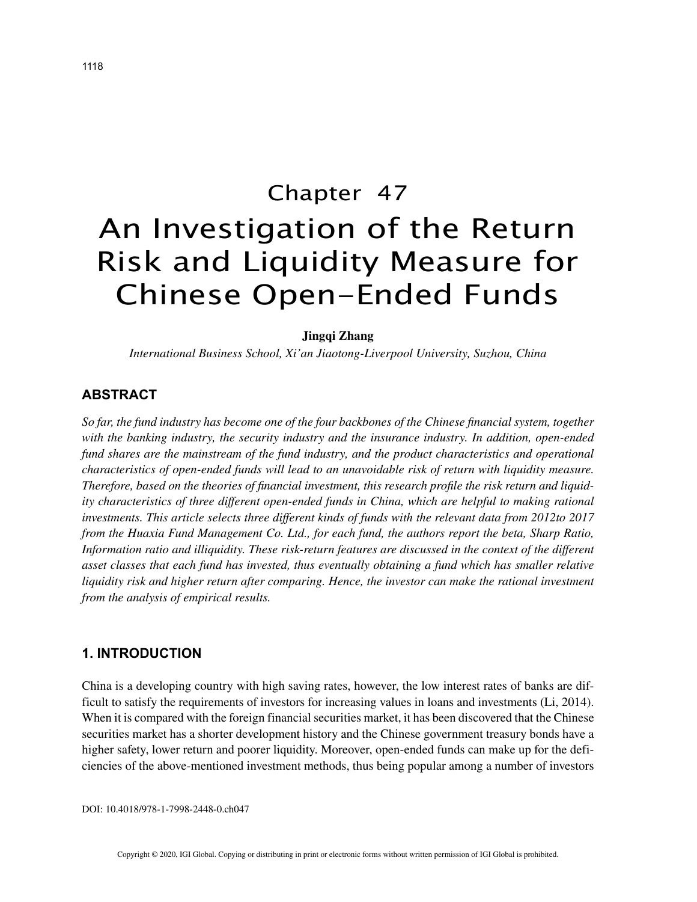# Chapter 47 An Investigation of the Return Risk and Liquidity Measure for Chinese Open-Ended Funds

#### **Jingqi Zhang**

*International Business School, Xi'an Jiaotong-Liverpool University, Suzhou, China*

## **ABSTRACT**

*So far, the fund industry has become one of the four backbones of the Chinese financial system, together with the banking industry, the security industry and the insurance industry. In addition, open-ended fund shares are the mainstream of the fund industry, and the product characteristics and operational characteristics of open-ended funds will lead to an unavoidable risk of return with liquidity measure. Therefore, based on the theories of financial investment, this research profile the risk return and liquidity characteristics of three different open-ended funds in China, which are helpful to making rational investments. This article selects three different kinds of funds with the relevant data from 2012to 2017 from the Huaxia Fund Management Co. Ltd., for each fund, the authors report the beta, Sharp Ratio, Information ratio and illiquidity. These risk-return features are discussed in the context of the different asset classes that each fund has invested, thus eventually obtaining a fund which has smaller relative liquidity risk and higher return after comparing. Hence, the investor can make the rational investment from the analysis of empirical results.*

## **1. INTRODUCTION**

China is a developing country with high saving rates, however, the low interest rates of banks are difficult to satisfy the requirements of investors for increasing values in loans and investments (Li, 2014). When it is compared with the foreign financial securities market, it has been discovered that the Chinese securities market has a shorter development history and the Chinese government treasury bonds have a higher safety, lower return and poorer liquidity. Moreover, open-ended funds can make up for the deficiencies of the above-mentioned investment methods, thus being popular among a number of investors

DOI: 10.4018/978-1-7998-2448-0.ch047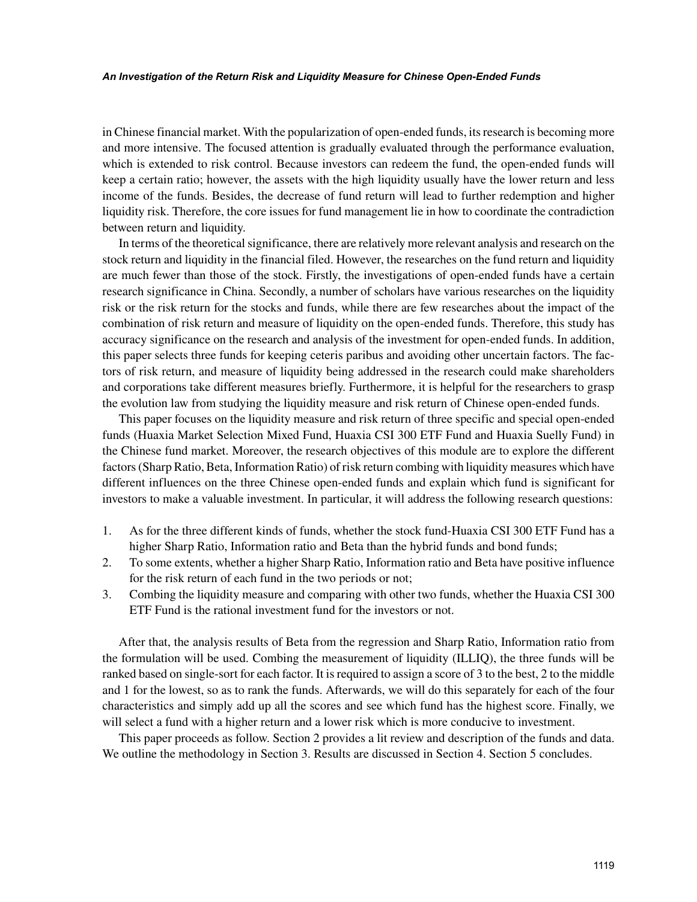#### *An Investigation of the Return Risk and Liquidity Measure for Chinese Open-Ended Funds*

in Chinese financial market. With the popularization of open-ended funds, its research is becoming more and more intensive. The focused attention is gradually evaluated through the performance evaluation, which is extended to risk control. Because investors can redeem the fund, the open-ended funds will keep a certain ratio; however, the assets with the high liquidity usually have the lower return and less income of the funds. Besides, the decrease of fund return will lead to further redemption and higher liquidity risk. Therefore, the core issues for fund management lie in how to coordinate the contradiction between return and liquidity.

In terms of the theoretical significance, there are relatively more relevant analysis and research on the stock return and liquidity in the financial filed. However, the researches on the fund return and liquidity are much fewer than those of the stock. Firstly, the investigations of open-ended funds have a certain research significance in China. Secondly, a number of scholars have various researches on the liquidity risk or the risk return for the stocks and funds, while there are few researches about the impact of the combination of risk return and measure of liquidity on the open-ended funds. Therefore, this study has accuracy significance on the research and analysis of the investment for open-ended funds. In addition, this paper selects three funds for keeping ceteris paribus and avoiding other uncertain factors. The factors of risk return, and measure of liquidity being addressed in the research could make shareholders and corporations take different measures briefly. Furthermore, it is helpful for the researchers to grasp the evolution law from studying the liquidity measure and risk return of Chinese open-ended funds.

This paper focuses on the liquidity measure and risk return of three specific and special open-ended funds (Huaxia Market Selection Mixed Fund, Huaxia CSI 300 ETF Fund and Huaxia Suelly Fund) in the Chinese fund market. Moreover, the research objectives of this module are to explore the different factors (Sharp Ratio, Beta, Information Ratio) of risk return combing with liquidity measures which have different influences on the three Chinese open-ended funds and explain which fund is significant for investors to make a valuable investment. In particular, it will address the following research questions:

- 1. As for the three different kinds of funds, whether the stock fund-Huaxia CSI 300 ETF Fund has a higher Sharp Ratio, Information ratio and Beta than the hybrid funds and bond funds;
- 2. To some extents, whether a higher Sharp Ratio, Information ratio and Beta have positive influence for the risk return of each fund in the two periods or not;
- 3. Combing the liquidity measure and comparing with other two funds, whether the Huaxia CSI 300 ETF Fund is the rational investment fund for the investors or not.

After that, the analysis results of Beta from the regression and Sharp Ratio, Information ratio from the formulation will be used. Combing the measurement of liquidity (ILLIQ), the three funds will be ranked based on single-sort for each factor. It is required to assign a score of 3 to the best, 2 to the middle and 1 for the lowest, so as to rank the funds. Afterwards, we will do this separately for each of the four characteristics and simply add up all the scores and see which fund has the highest score. Finally, we will select a fund with a higher return and a lower risk which is more conducive to investment.

This paper proceeds as follow. Section 2 provides a lit review and description of the funds and data. We outline the methodology in Section 3. Results are discussed in Section 4. Section 5 concludes.